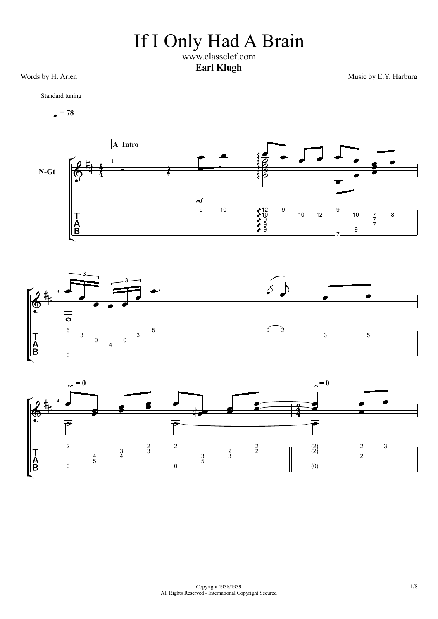## If I Only Had A Brain www.classclef.com

**Earl Klugh**

Words by H. Arlen Music by E.Y. Harburg

Standard tuning

$$
\blacksquare = 78
$$





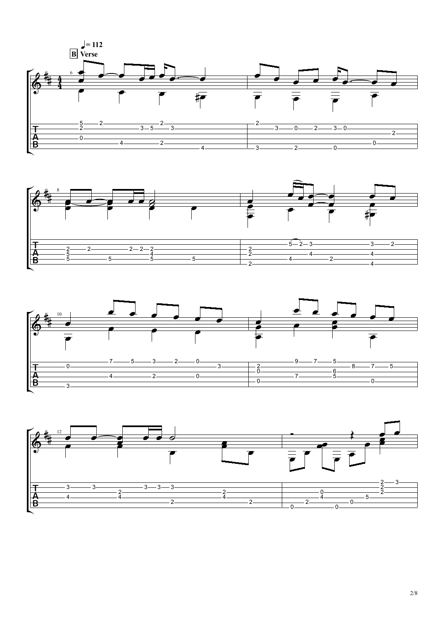





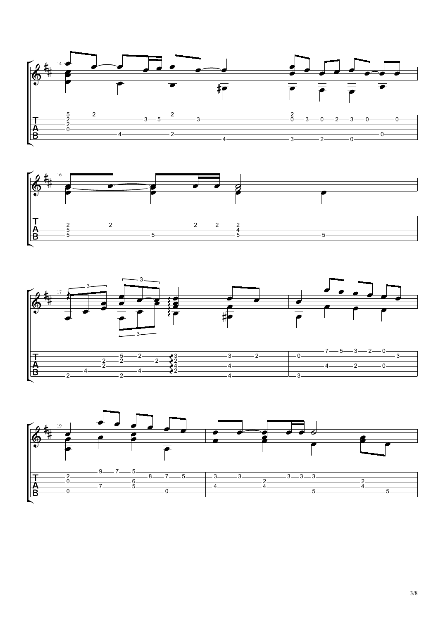





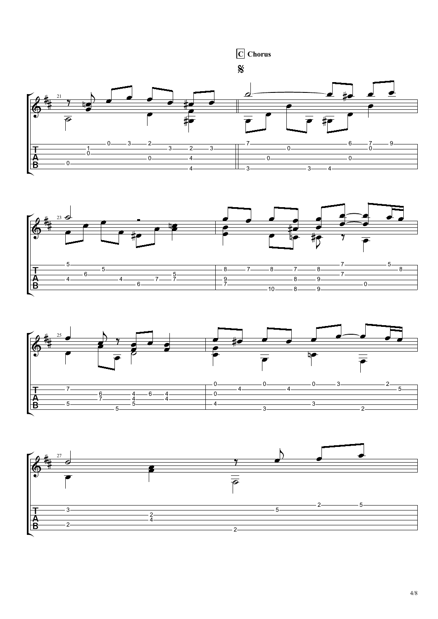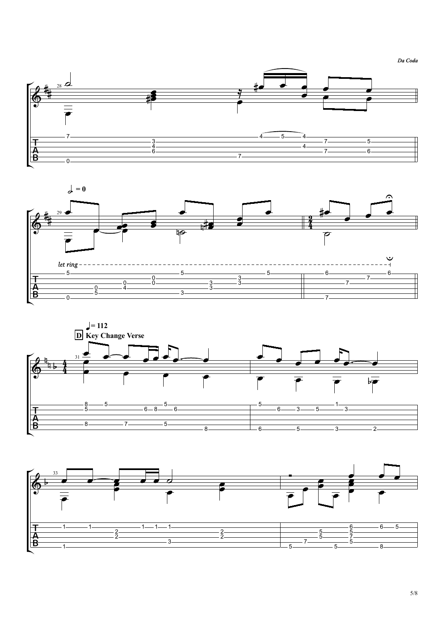





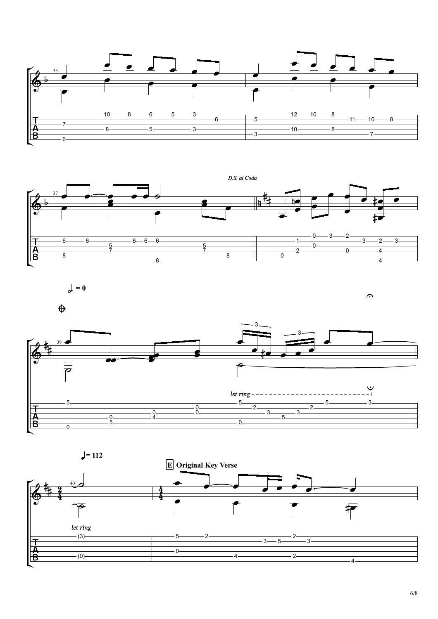

D.S. al Coda  $\sim$  $\sharp$  $0 \longrightarrow 3 \longrightarrow 2 \longrightarrow$  $\frac{-2}{3}$  2 3  $\begin{array}{c}\n 6 \longrightarrow 6 \\
\hline\n 7\n \end{array}$  $6 - 6 - 6 \frac{1}{1}$   $\frac{1}{1}$   $\frac{1}{1}$   $\frac{1}{1}$   $\frac{1}{1}$   $\frac{1}{1}$   $\frac{1}{1}$   $\frac{1}{1}$   $\frac{1}{1}$   $\frac{1}{1}$   $\frac{1}{1}$   $\frac{1}{1}$   $\frac{1}{1}$   $\frac{1}{1}$   $\frac{1}{1}$   $\frac{1}{1}$   $\frac{1}{1}$   $\frac{1}{1}$   $\frac{1}{1}$   $\frac{1}{1}$   $\frac{1}{1}$   $\frac{1}{1$  $3 - 2 - 3 - 1$   $0 \longrightarrow 0$   $\overline{7}$   $\longrightarrow$  0  $4 \longrightarrow$ 8<sup>2</sup>  $8 \longrightarrow 0 \longrightarrow 0$  

 $\boldsymbol{\mu} = \mathbf{0}$ 

 $\hat{\varphi}$ 

 $\hat{ }$ 



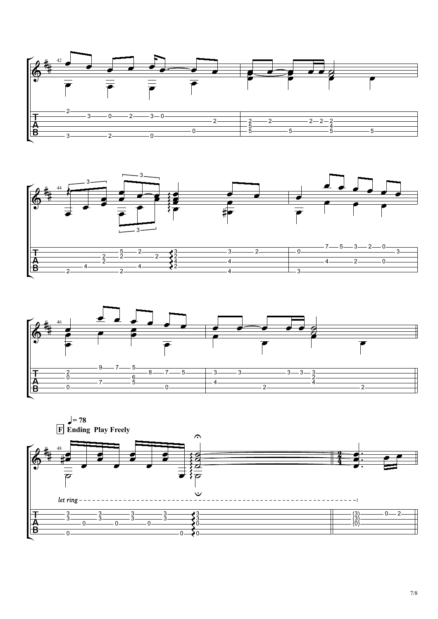